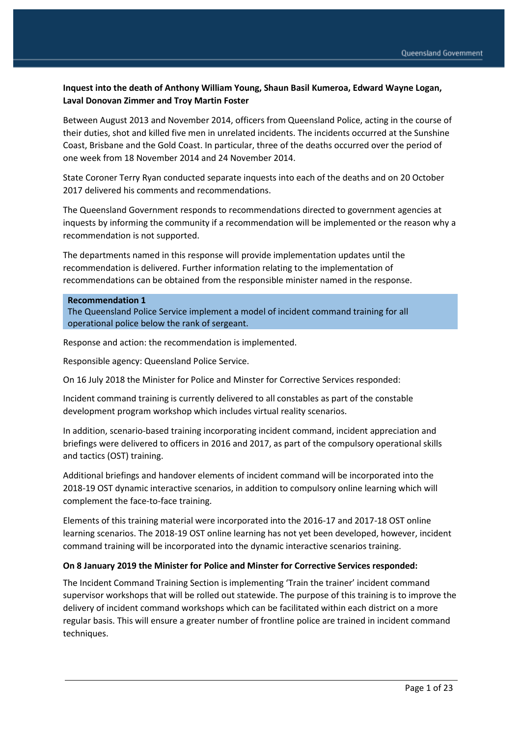# **Inquest into the death of Anthony William Young, Shaun Basil Kumeroa, Edward Wayne Logan, Laval Donovan Zimmer and Troy Martin Foster**

Between August 2013 and November 2014, officers from Queensland Police, acting in the course of their duties, shot and killed five men in unrelated incidents. The incidents occurred at the Sunshine Coast, Brisbane and the Gold Coast. In particular, three of the deaths occurred over the period of one week from 18 November 2014 and 24 November 2014.

State Coroner Terry Ryan conducted separate inquests into each of the deaths and on 20 October 2017 delivered his comments and recommendations.

The Queensland Government responds to recommendations directed to government agencies at inquests by informing the community if a recommendation will be implemented or the reason why a recommendation is not supported.

The departments named in this response will provide implementation updates until the recommendation is delivered. Further information relating to the implementation of recommendations can be obtained from the responsible minister named in the response.

#### **Recommendation 1**

The Queensland Police Service implement a model of incident command training for all operational police below the rank of sergeant.

Response and action: the recommendation is implemented.

Responsible agency: Queensland Police Service.

On 16 July 2018 the Minister for Police and Minster for Corrective Services responded:

Incident command training is currently delivered to all constables as part of the constable development program workshop which includes virtual reality scenarios.

In addition, scenario-based training incorporating incident command, incident appreciation and briefings were delivered to officers in 2016 and 2017, as part of the compulsory operational skills and tactics (OST) training.

Additional briefings and handover elements of incident command will be incorporated into the 2018-19 OST dynamic interactive scenarios, in addition to compulsory online learning which will complement the face-to-face training.

Elements of this training material were incorporated into the 2016-17 and 2017-18 OST online learning scenarios. The 2018-19 OST online learning has not yet been developed, however, incident command training will be incorporated into the dynamic interactive scenarios training.

### **On 8 January 2019 the Minister for Police and Minster for Corrective Services responded:**

The Incident Command Training Section is implementing 'Train the trainer' incident command supervisor workshops that will be rolled out statewide. The purpose of this training is to improve the delivery of incident command workshops which can be facilitated within each district on a more regular basis. This will ensure a greater number of frontline police are trained in incident command techniques.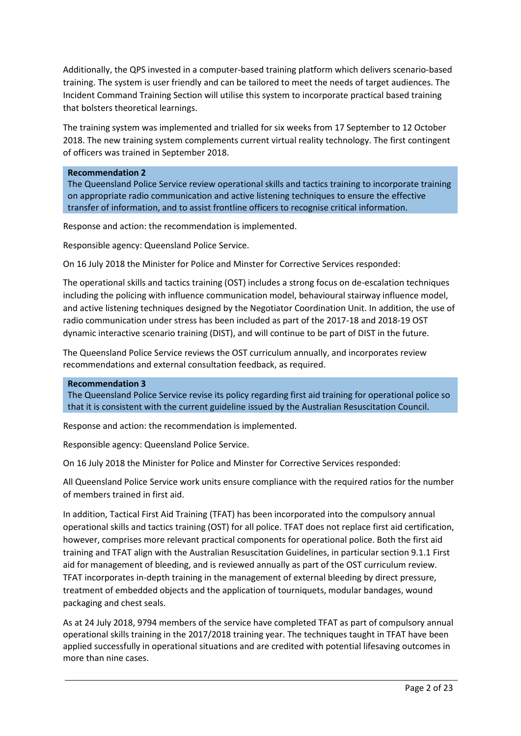Additionally, the QPS invested in a computer-based training platform which delivers scenario-based training. The system is user friendly and can be tailored to meet the needs of target audiences. The Incident Command Training Section will utilise this system to incorporate practical based training that bolsters theoretical learnings.

The training system was implemented and trialled for six weeks from 17 September to 12 October 2018. The new training system complements current virtual reality technology. The first contingent of officers was trained in September 2018.

#### **Recommendation 2**

The Queensland Police Service review operational skills and tactics training to incorporate training on appropriate radio communication and active listening techniques to ensure the effective transfer of information, and to assist frontline officers to recognise critical information.

Response and action: the recommendation is implemented.

Responsible agency: Queensland Police Service.

On 16 July 2018 the Minister for Police and Minster for Corrective Services responded:

The operational skills and tactics training (OST) includes a strong focus on de-escalation techniques including the policing with influence communication model, behavioural stairway influence model, and active listening techniques designed by the Negotiator Coordination Unit. In addition, the use of radio communication under stress has been included as part of the 2017-18 and 2018-19 OST dynamic interactive scenario training (DIST), and will continue to be part of DIST in the future.

The Queensland Police Service reviews the OST curriculum annually, and incorporates review recommendations and external consultation feedback, as required.

#### **Recommendation 3**

The Queensland Police Service revise its policy regarding first aid training for operational police so that it is consistent with the current guideline issued by the Australian Resuscitation Council.

Response and action: the recommendation is implemented.

Responsible agency: Queensland Police Service.

On 16 July 2018 the Minister for Police and Minster for Corrective Services responded:

All Queensland Police Service work units ensure compliance with the required ratios for the number of members trained in first aid.

In addition, Tactical First Aid Training (TFAT) has been incorporated into the compulsory annual operational skills and tactics training (OST) for all police. TFAT does not replace first aid certification, however, comprises more relevant practical components for operational police. Both the first aid training and TFAT align with the Australian Resuscitation Guidelines, in particular section 9.1.1 First aid for management of bleeding, and is reviewed annually as part of the OST curriculum review. TFAT incorporates in-depth training in the management of external bleeding by direct pressure, treatment of embedded objects and the application of tourniquets, modular bandages, wound packaging and chest seals.

As at 24 July 2018, 9794 members of the service have completed TFAT as part of compulsory annual operational skills training in the 2017/2018 training year. The techniques taught in TFAT have been applied successfully in operational situations and are credited with potential lifesaving outcomes in more than nine cases.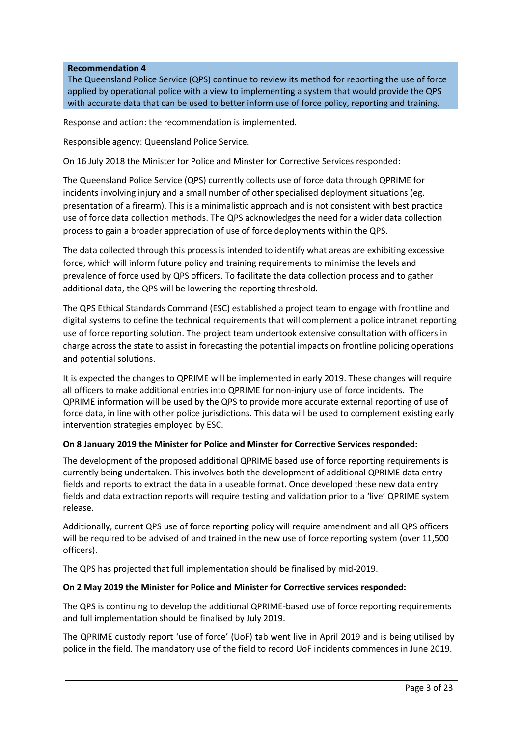### **Recommendation 4**

The Queensland Police Service (QPS) continue to review its method for reporting the use of force applied by operational police with a view to implementing a system that would provide the QPS with accurate data that can be used to better inform use of force policy, reporting and training.

Response and action: the recommendation is implemented.

Responsible agency: Queensland Police Service.

On 16 July 2018 the Minister for Police and Minster for Corrective Services responded:

The Queensland Police Service (QPS) currently collects use of force data through QPRIME for incidents involving injury and a small number of other specialised deployment situations (eg. presentation of a firearm). This is a minimalistic approach and is not consistent with best practice use of force data collection methods. The QPS acknowledges the need for a wider data collection process to gain a broader appreciation of use of force deployments within the QPS.

The data collected through this process is intended to identify what areas are exhibiting excessive force, which will inform future policy and training requirements to minimise the levels and prevalence of force used by QPS officers. To facilitate the data collection process and to gather additional data, the QPS will be lowering the reporting threshold.

The QPS Ethical Standards Command (ESC) established a project team to engage with frontline and digital systems to define the technical requirements that will complement a police intranet reporting use of force reporting solution. The project team undertook extensive consultation with officers in charge across the state to assist in forecasting the potential impacts on frontline policing operations and potential solutions.

It is expected the changes to QPRIME will be implemented in early 2019. These changes will require all officers to make additional entries into QPRIME for non-injury use of force incidents. The QPRIME information will be used by the QPS to provide more accurate external reporting of use of force data, in line with other police jurisdictions. This data will be used to complement existing early intervention strategies employed by ESC.

# **On 8 January 2019 the Minister for Police and Minster for Corrective Services responded:**

The development of the proposed additional QPRIME based use of force reporting requirements is currently being undertaken. This involves both the development of additional QPRIME data entry fields and reports to extract the data in a useable format. Once developed these new data entry fields and data extraction reports will require testing and validation prior to a 'live' QPRIME system release.

Additionally, current QPS use of force reporting policy will require amendment and all QPS officers will be required to be advised of and trained in the new use of force reporting system (over 11,500 officers).

The QPS has projected that full implementation should be finalised by mid-2019.

### **On 2 May 2019 the Minister for Police and Minister for Corrective services responded:**

The QPS is continuing to develop the additional QPRIME-based use of force reporting requirements and full implementation should be finalised by July 2019.

The QPRIME custody report 'use of force' (UoF) tab went live in April 2019 and is being utilised by police in the field. The mandatory use of the field to record UoF incidents commences in June 2019.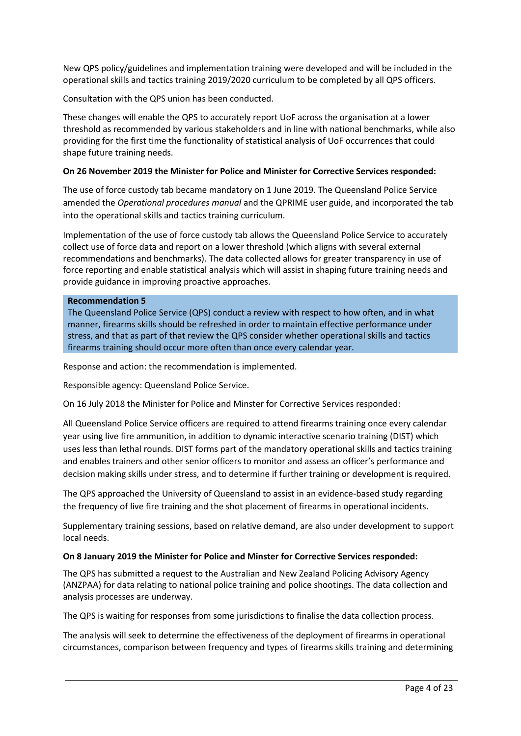New QPS policy/guidelines and implementation training were developed and will be included in the operational skills and tactics training 2019/2020 curriculum to be completed by all QPS officers.

Consultation with the QPS union has been conducted.

These changes will enable the QPS to accurately report UoF across the organisation at a lower threshold as recommended by various stakeholders and in line with national benchmarks, while also providing for the first time the functionality of statistical analysis of UoF occurrences that could shape future training needs.

### **On 26 November 2019 the Minister for Police and Minister for Corrective Services responded:**

The use of force custody tab became mandatory on 1 June 2019. The Queensland Police Service amended the *Operational procedures manual* and the QPRIME user guide, and incorporated the tab into the operational skills and tactics training curriculum.

Implementation of the use of force custody tab allows the Queensland Police Service to accurately collect use of force data and report on a lower threshold (which aligns with several external recommendations and benchmarks). The data collected allows for greater transparency in use of force reporting and enable statistical analysis which will assist in shaping future training needs and provide guidance in improving proactive approaches.

### **Recommendation 5**

The Queensland Police Service (QPS) conduct a review with respect to how often, and in what manner, firearms skills should be refreshed in order to maintain effective performance under stress, and that as part of that review the QPS consider whether operational skills and tactics firearms training should occur more often than once every calendar year.

Response and action: the recommendation is implemented.

Responsible agency: Queensland Police Service.

On 16 July 2018 the Minister for Police and Minster for Corrective Services responded:

All Queensland Police Service officers are required to attend firearms training once every calendar year using live fire ammunition, in addition to dynamic interactive scenario training (DIST) which uses less than lethal rounds. DIST forms part of the mandatory operational skills and tactics training and enables trainers and other senior officers to monitor and assess an officer's performance and decision making skills under stress, and to determine if further training or development is required.

The QPS approached the University of Queensland to assist in an evidence-based study regarding the frequency of live fire training and the shot placement of firearms in operational incidents.

Supplementary training sessions, based on relative demand, are also under development to support local needs.

### **On 8 January 2019 the Minister for Police and Minster for Corrective Services responded:**

The QPS has submitted a request to the Australian and New Zealand Policing Advisory Agency (ANZPAA) for data relating to national police training and police shootings. The data collection and analysis processes are underway.

The QPS is waiting for responses from some jurisdictions to finalise the data collection process.

The analysis will seek to determine the effectiveness of the deployment of firearms in operational circumstances, comparison between frequency and types of firearms skills training and determining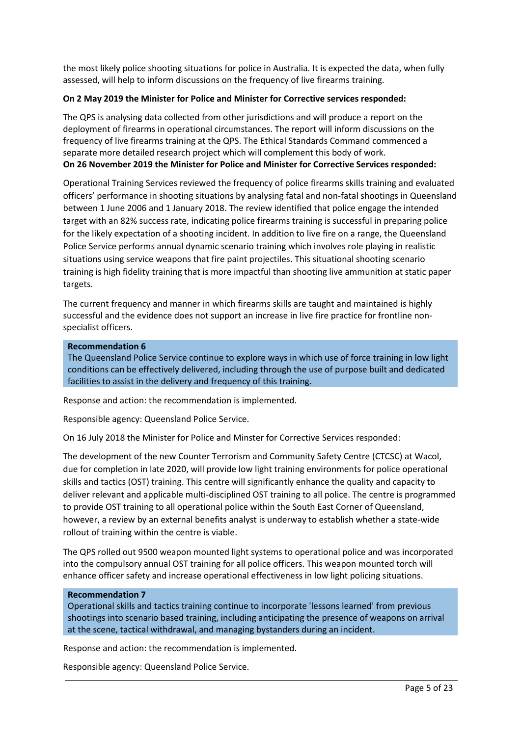the most likely police shooting situations for police in Australia. It is expected the data, when fully assessed, will help to inform discussions on the frequency of live firearms training.

### **On 2 May 2019 the Minister for Police and Minister for Corrective services responded:**

The QPS is analysing data collected from other jurisdictions and will produce a report on the deployment of firearms in operational circumstances. The report will inform discussions on the frequency of live firearms training at the QPS. The Ethical Standards Command commenced a separate more detailed research project which will complement this body of work. **On 26 November 2019 the Minister for Police and Minister for Corrective Services responded:**

Operational Training Services reviewed the frequency of police firearms skills training and evaluated officers' performance in shooting situations by analysing fatal and non-fatal shootings in Queensland between 1 June 2006 and 1 January 2018. The review identified that police engage the intended target with an 82% success rate, indicating police firearms training is successful in preparing police for the likely expectation of a shooting incident. In addition to live fire on a range, the Queensland Police Service performs annual dynamic scenario training which involves role playing in realistic situations using service weapons that fire paint projectiles. This situational shooting scenario training is high fidelity training that is more impactful than shooting live ammunition at static paper targets.

The current frequency and manner in which firearms skills are taught and maintained is highly successful and the evidence does not support an increase in live fire practice for frontline nonspecialist officers.

#### **Recommendation 6**

The Queensland Police Service continue to explore ways in which use of force training in low light conditions can be effectively delivered, including through the use of purpose built and dedicated facilities to assist in the delivery and frequency of this training.

Response and action: the recommendation is implemented.

Responsible agency: Queensland Police Service.

On 16 July 2018 the Minister for Police and Minster for Corrective Services responded:

The development of the new Counter Terrorism and Community Safety Centre (CTCSC) at Wacol, due for completion in late 2020, will provide low light training environments for police operational skills and tactics (OST) training. This centre will significantly enhance the quality and capacity to deliver relevant and applicable multi-disciplined OST training to all police. The centre is programmed to provide OST training to all operational police within the South East Corner of Queensland, however, a review by an external benefits analyst is underway to establish whether a state-wide rollout of training within the centre is viable.

The QPS rolled out 9500 weapon mounted light systems to operational police and was incorporated into the compulsory annual OST training for all police officers. This weapon mounted torch will enhance officer safety and increase operational effectiveness in low light policing situations.

#### **Recommendation 7**

Operational skills and tactics training continue to incorporate 'lessons learned' from previous shootings into scenario based training, including anticipating the presence of weapons on arrival at the scene, tactical withdrawal, and managing bystanders during an incident.

Response and action: the recommendation is implemented.

Responsible agency: Queensland Police Service.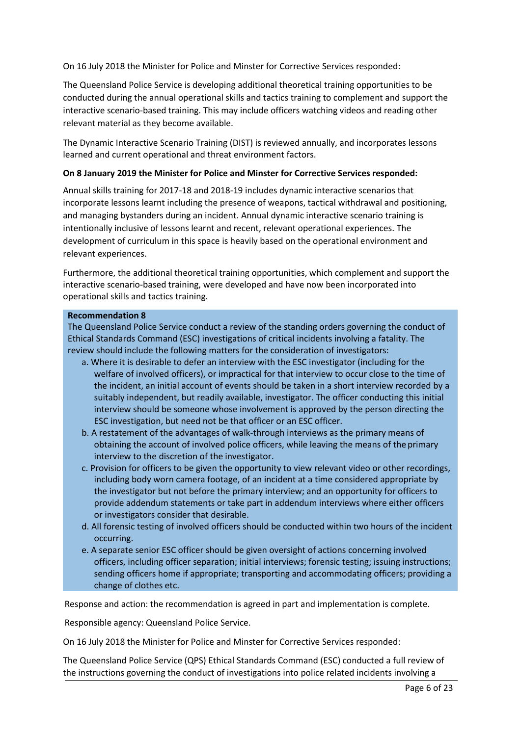On 16 July 2018 the Minister for Police and Minster for Corrective Services responded:

The Queensland Police Service is developing additional theoretical training opportunities to be conducted during the annual operational skills and tactics training to complement and support the interactive scenario-based training. This may include officers watching videos and reading other relevant material as they become available.

The Dynamic Interactive Scenario Training (DIST) is reviewed annually, and incorporates lessons learned and current operational and threat environment factors.

### **On 8 January 2019 the Minister for Police and Minster for Corrective Services responded:**

Annual skills training for 2017-18 and 2018-19 includes dynamic interactive scenarios that incorporate lessons learnt including the presence of weapons, tactical withdrawal and positioning, and managing bystanders during an incident. Annual dynamic interactive scenario training is intentionally inclusive of lessons learnt and recent, relevant operational experiences. The development of curriculum in this space is heavily based on the operational environment and relevant experiences.

Furthermore, the additional theoretical training opportunities, which complement and support the interactive scenario-based training, were developed and have now been incorporated into operational skills and tactics training.

### **Recommendation 8**

The Queensland Police Service conduct a review of the standing orders governing the conduct of Ethical Standards Command (ESC) investigations of critical incidents involving a fatality. The review should include the following matters for the consideration of investigators:

- a. Where it is desirable to defer an interview with the ESC investigator (including for the welfare of involved officers), or impractical for that interview to occur close to the time of the incident, an initial account of events should be taken in a short interview recorded by a suitably independent, but readily available, investigator. The officer conducting this initial interview should be someone whose involvement is approved by the person directing the ESC investigation, but need not be that officer or an ESC officer.
- b. A restatement of the advantages of walk-through interviews as the primary means of obtaining the account of involved police officers, while leaving the means of theprimary interview to the discretion of the investigator.
- c. Provision for officers to be given the opportunity to view relevant video or other recordings, including body worn camera footage, of an incident at a time considered appropriate by the investigator but not before the primary interview; and an opportunity for officers to provide addendum statements or take part in addendum interviews where either officers or investigators consider that desirable.
- d. All forensic testing of involved officers should be conducted within two hours of the incident occurring.
- e. A separate senior ESC officer should be given oversight of actions concerning involved officers, including officer separation; initial interviews; forensic testing; issuing instructions; sending officers home if appropriate; transporting and accommodating officers; providing a change of clothes etc.

Response and action: the recommendation is agreed in part and implementation is complete.

Responsible agency: Queensland Police Service.

On 16 July 2018 the Minister for Police and Minster for Corrective Services responded:

The Queensland Police Service (QPS) Ethical Standards Command (ESC) conducted a full review of the instructions governing the conduct of investigations into police related incidents involving a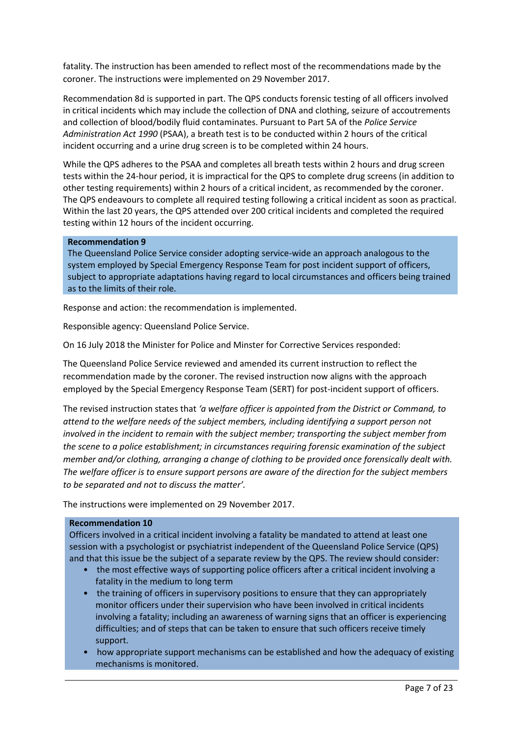fatality. The instruction has been amended to reflect most of the recommendations made by the coroner. The instructions were implemented on 29 November 2017.

Recommendation 8d is supported in part. The QPS conducts forensic testing of all officers involved in critical incidents which may include the collection of DNA and clothing, seizure of accoutrements and collection of blood/bodily fluid contaminates. Pursuant to Part 5A of the *Police Service Administration Act 1990* (PSAA), a breath test is to be conducted within 2 hours of the critical incident occurring and a urine drug screen is to be completed within 24 hours.

While the QPS adheres to the PSAA and completes all breath tests within 2 hours and drug screen tests within the 24-hour period, it is impractical for the QPS to complete drug screens (in addition to other testing requirements) within 2 hours of a critical incident, as recommended by the coroner. The QPS endeavours to complete all required testing following a critical incident as soon as practical. Within the last 20 years, the QPS attended over 200 critical incidents and completed the required testing within 12 hours of the incident occurring.

#### **Recommendation 9**

The Queensland Police Service consider adopting service-wide an approach analogous to the system employed by Special Emergency Response Team for post incident support of officers, subject to appropriate adaptations having regard to local circumstances and officers being trained as to the limits of their role.

Response and action: the recommendation is implemented.

Responsible agency: Queensland Police Service.

On 16 July 2018 the Minister for Police and Minster for Corrective Services responded:

The Queensland Police Service reviewed and amended its current instruction to reflect the recommendation made by the coroner. The revised instruction now aligns with the approach employed by the Special Emergency Response Team (SERT) for post-incident support of officers.

The revised instruction states that *'a welfare officer is appointed from the District or Command, to attend to the welfare needs of the subject members, including identifying a support person not involved in the incident to remain with the subject member; transporting the subject member from the scene to a police establishment; in circumstances requiring forensic examination of the subject member and/or clothing, arranging a change of clothing to be provided once forensically dealt with. The welfare officer is to ensure support persons are aware of the direction for the subject members to be separated and not to discuss the matter'.*

The instructions were implemented on 29 November 2017.

#### **Recommendation 10**

Officers involved in a critical incident involving a fatality be mandated to attend at least one session with a psychologist or psychiatrist independent of the Queensland Police Service (QPS) and that this issue be the subject of a separate review by the QPS. The review should consider:

- the most effective ways of supporting police officers after a critical incident involving a fatality in the medium to long term
- the training of officers in supervisory positions to ensure that they can appropriately monitor officers under their supervision who have been involved in critical incidents involving a fatality; including an awareness of warning signs that an officer is experiencing difficulties; and of steps that can be taken to ensure that such officers receive timely support.
- how appropriate support mechanisms can be established and how the adequacy of existing mechanisms is monitored.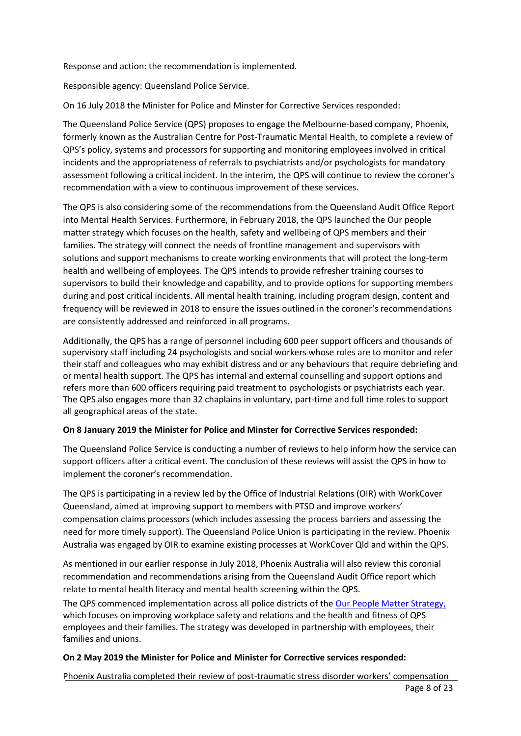Response and action: the recommendation is implemented.

Responsible agency: Queensland Police Service.

On 16 July 2018 the Minister for Police and Minster for Corrective Services responded:

The Queensland Police Service (QPS) proposes to engage the Melbourne-based company, Phoenix, formerly known as the Australian Centre for Post-Traumatic Mental Health, to complete a review of QPS's policy, systems and processors for supporting and monitoring employees involved in critical incidents and the appropriateness of referrals to psychiatrists and/or psychologists for mandatory assessment following a critical incident. In the interim, the QPS will continue to review the coroner's recommendation with a view to continuous improvement of these services.

The QPS is also considering some of the recommendations from the Queensland Audit Office Report into Mental Health Services. Furthermore, in February 2018, the QPS launched the Our people matter strategy which focuses on the health, safety and wellbeing of QPS members and their families. The strategy will connect the needs of frontline management and supervisors with solutions and support mechanisms to create working environments that will protect the long-term health and wellbeing of employees. The QPS intends to provide refresher training courses to supervisors to build their knowledge and capability, and to provide options for supporting members during and post critical incidents. All mental health training, including program design, content and frequency will be reviewed in 2018 to ensure the issues outlined in the coroner's recommendations are consistently addressed and reinforced in all programs.

Additionally, the QPS has a range of personnel including 600 peer support officers and thousands of supervisory staff including 24 psychologists and social workers whose roles are to monitor and refer their staff and colleagues who may exhibit distress and or any behaviours that require debriefing and or mental health support. The QPS has internal and external counselling and support options and refers more than 600 officers requiring paid treatment to psychologists or psychiatrists each year. The QPS also engages more than 32 chaplains in voluntary, part-time and full time roles to support all geographical areas of the state.

### **On 8 January 2019 the Minister for Police and Minster for Corrective Services responded:**

The Queensland Police Service is conducting a number of reviews to help inform how the service can support officers after a critical event. The conclusion of these reviews will assist the QPS in how to implement the coroner's recommendation.

The QPS is participating in a review led by the Office of Industrial Relations (OIR) with WorkCover Queensland, aimed at improving support to members with PTSD and improve workers' compensation claims processors (which includes assessing the process barriers and assessing the need for more timely support). The Queensland Police Union is participating in the review. Phoenix Australia was engaged by OIR to examine existing processes at WorkCover Qld and within the QPS.

As mentioned in our earlier response in July 2018, Phoenix Australia will also review this coronial recommendation and recommendations arising from the Queensland Audit Office report which relate to mental health literacy and mental health screening within the QPS.

The QPS commenced implementation across all police districts of the [Our People Matter Strategy,](http://ourpeoplematter.com.au/) which focuses on improving workplace safety and relations and the health and fitness of QPS employees and their families. The strategy was developed in partnership with employees, their families and unions.

### **On 2 May 2019 the Minister for Police and Minister for Corrective services responded:**

Page 8 of 23 Phoenix Australia completed their review of post-traumatic stress disorder workers' compensation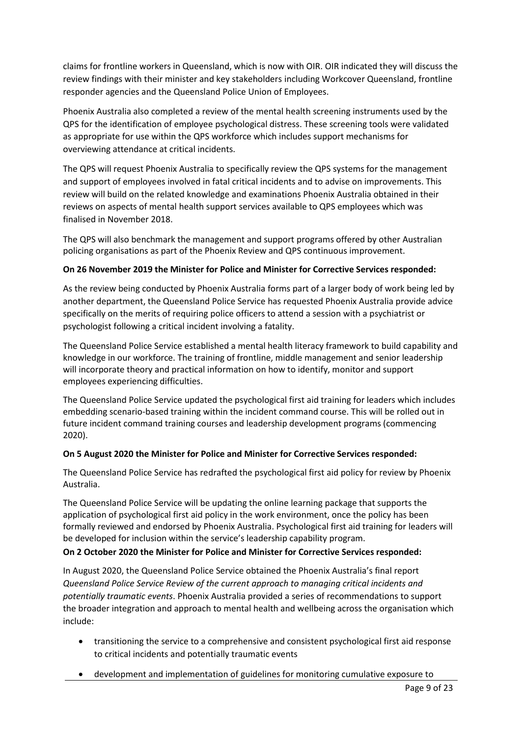claims for frontline workers in Queensland, which is now with OIR. OIR indicated they will discuss the review findings with their minister and key stakeholders including Workcover Queensland, frontline responder agencies and the Queensland Police Union of Employees.

Phoenix Australia also completed a review of the mental health screening instruments used by the QPS for the identification of employee psychological distress. These screening tools were validated as appropriate for use within the QPS workforce which includes support mechanisms for overviewing attendance at critical incidents.

The QPS will request Phoenix Australia to specifically review the QPS systems for the management and support of employees involved in fatal critical incidents and to advise on improvements. This review will build on the related knowledge and examinations Phoenix Australia obtained in their reviews on aspects of mental health support services available to QPS employees which was finalised in November 2018.

The QPS will also benchmark the management and support programs offered by other Australian policing organisations as part of the Phoenix Review and QPS continuous improvement.

# **On 26 November 2019 the Minister for Police and Minister for Corrective Services responded:**

As the review being conducted by Phoenix Australia forms part of a larger body of work being led by another department, the Queensland Police Service has requested Phoenix Australia provide advice specifically on the merits of requiring police officers to attend a session with a psychiatrist or psychologist following a critical incident involving a fatality.

The Queensland Police Service established a mental health literacy framework to build capability and knowledge in our workforce. The training of frontline, middle management and senior leadership will incorporate theory and practical information on how to identify, monitor and support employees experiencing difficulties.

The Queensland Police Service updated the psychological first aid training for leaders which includes embedding scenario-based training within the incident command course. This will be rolled out in future incident command training courses and leadership development programs (commencing 2020).

# **On 5 August 2020 the Minister for Police and Minister for Corrective Services responded:**

The Queensland Police Service has redrafted the psychological first aid policy for review by Phoenix Australia.

The Queensland Police Service will be updating the online learning package that supports the application of psychological first aid policy in the work environment, once the policy has been formally reviewed and endorsed by Phoenix Australia. Psychological first aid training for leaders will be developed for inclusion within the service's leadership capability program.

# **On 2 October 2020 the Minister for Police and Minister for Corrective Services responded:**

In August 2020, the Queensland Police Service obtained the Phoenix Australia's final report *Queensland Police Service Review of the current approach to managing critical incidents and potentially traumatic events*. Phoenix Australia provided a series of recommendations to support the broader integration and approach to mental health and wellbeing across the organisation which include:

- transitioning the service to a comprehensive and consistent psychological first aid response to critical incidents and potentially traumatic events
- development and implementation of guidelines for monitoring cumulative exposure to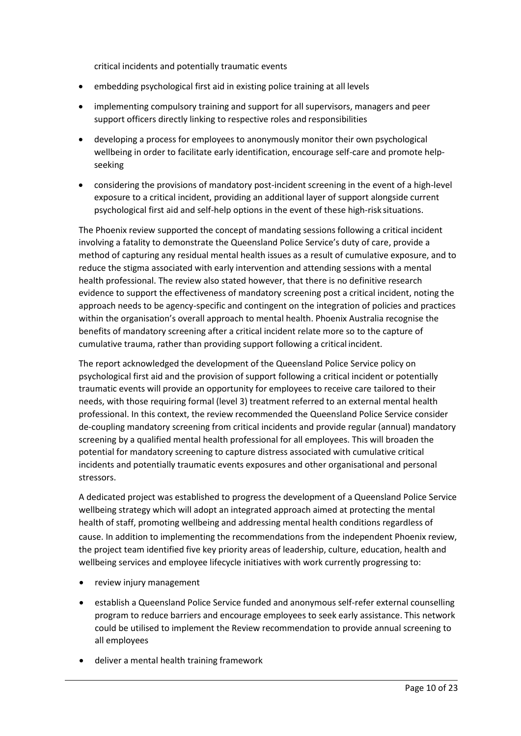critical incidents and potentially traumatic events

- embedding psychological first aid in existing police training at all levels
- implementing compulsory training and support for all supervisors, managers and peer support officers directly linking to respective roles and responsibilities
- developing a process for employees to anonymously monitor their own psychological wellbeing in order to facilitate early identification, encourage self-care and promote helpseeking
- considering the provisions of mandatory post-incident screening in the event of a high-level exposure to a critical incident, providing an additional layer of support alongside current psychological first aid and self-help options in the event of these high-risk situations.

The Phoenix review supported the concept of mandating sessions following a critical incident involving a fatality to demonstrate the Queensland Police Service's duty of care, provide a method of capturing any residual mental health issues as a result of cumulative exposure, and to reduce the stigma associated with early intervention and attending sessions with a mental health professional. The review also stated however, that there is no definitive research evidence to support the effectiveness of mandatory screening post a critical incident, noting the approach needs to be agency-specific and contingent on the integration of policies and practices within the organisation's overall approach to mental health. Phoenix Australia recognise the benefits of mandatory screening after a critical incident relate more so to the capture of cumulative trauma, rather than providing support following a critical incident.

The report acknowledged the development of the Queensland Police Service policy on psychological first aid and the provision of support following a critical incident or potentially traumatic events will provide an opportunity for employees to receive care tailored to their needs, with those requiring formal (level 3) treatment referred to an external mental health professional. In this context, the review recommended the Queensland Police Service consider de-coupling mandatory screening from critical incidents and provide regular (annual) mandatory screening by a qualified mental health professional for all employees. This will broaden the potential for mandatory screening to capture distress associated with cumulative critical incidents and potentially traumatic events exposures and other organisational and personal stressors.

A dedicated project was established to progress the development of a Queensland Police Service wellbeing strategy which will adopt an integrated approach aimed at protecting the mental health of staff, promoting wellbeing and addressing mental health conditions regardless of cause. In addition to implementing the recommendations from the independent Phoenix review, the project team identified five key priority areas of leadership, culture, education, health and wellbeing services and employee lifecycle initiatives with work currently progressing to:

- review injury management
- establish a Queensland Police Service funded and anonymous self-refer external counselling program to reduce barriers and encourage employees to seek early assistance. This network could be utilised to implement the Review recommendation to provide annual screening to all employees
- deliver a mental health training framework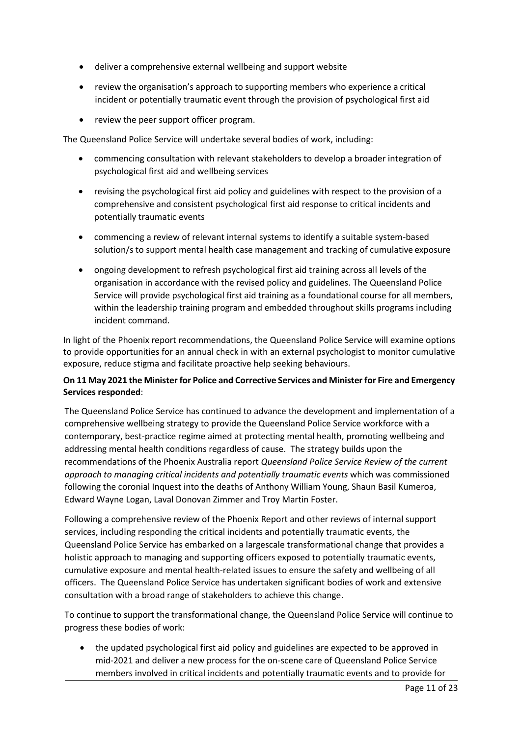- deliver a comprehensive external wellbeing and support website
- review the organisation's approach to supporting members who experience a critical incident or potentially traumatic event through the provision of psychological first aid
- review the peer support officer program.

The Queensland Police Service will undertake several bodies of work, including:

- commencing consultation with relevant stakeholders to develop a broader integration of psychological first aid and wellbeing services
- revising the psychological first aid policy and guidelines with respect to the provision of a comprehensive and consistent psychological first aid response to critical incidents and potentially traumatic events
- commencing a review of relevant internal systems to identify a suitable system-based solution/s to support mental health case management and tracking of cumulative exposure
- ongoing development to refresh psychological first aid training across all levels of the organisation in accordance with the revised policy and guidelines. The Queensland Police Service will provide psychological first aid training as a foundational course for all members, within the leadership training program and embedded throughout skills programs including incident command.

In light of the Phoenix report recommendations, the Queensland Police Service will examine options to provide opportunities for an annual check in with an external psychologist to monitor cumulative exposure, reduce stigma and facilitate proactive help seeking behaviours.

# **On 11 May 2021 the Minister for Police and Corrective Services and Minister for Fire and Emergency Services responded**:

The Queensland Police Service has continued to advance the development and implementation of a comprehensive wellbeing strategy to provide the Queensland Police Service workforce with a contemporary, best-practice regime aimed at protecting mental health, promoting wellbeing and addressing mental health conditions regardless of cause. The strategy builds upon the recommendations of the Phoenix Australia report *Queensland Police Service Review of the current approach to managing critical incidents and potentially traumatic events* which was commissioned following the coronial Inquest into the deaths of Anthony William Young, Shaun Basil Kumeroa, Edward Wayne Logan, Laval Donovan Zimmer and Troy Martin Foster.

Following a comprehensive review of the Phoenix Report and other reviews of internal support services, including responding the critical incidents and potentially traumatic events, the Queensland Police Service has embarked on a largescale transformational change that provides a holistic approach to managing and supporting officers exposed to potentially traumatic events, cumulative exposure and mental health-related issues to ensure the safety and wellbeing of all officers. The Queensland Police Service has undertaken significant bodies of work and extensive consultation with a broad range of stakeholders to achieve this change.

To continue to support the transformational change, the Queensland Police Service will continue to progress these bodies of work:

• the updated psychological first aid policy and guidelines are expected to be approved in mid-2021 and deliver a new process for the on-scene care of Queensland Police Service members involved in critical incidents and potentially traumatic events and to provide for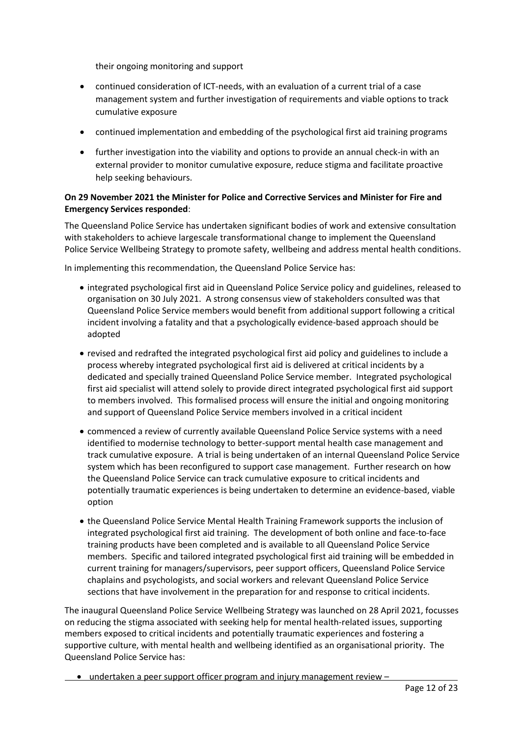their ongoing monitoring and support

- continued consideration of ICT-needs, with an evaluation of a current trial of a case management system and further investigation of requirements and viable options to track cumulative exposure
- continued implementation and embedding of the psychological first aid training programs
- further investigation into the viability and options to provide an annual check-in with an external provider to monitor cumulative exposure, reduce stigma and facilitate proactive help seeking behaviours.

### **On 29 November 2021 the Minister for Police and Corrective Services and Minister for Fire and Emergency Services responded**:

The Queensland Police Service has undertaken significant bodies of work and extensive consultation with stakeholders to achieve largescale transformational change to implement the Queensland Police Service Wellbeing Strategy to promote safety, wellbeing and address mental health conditions.

In implementing this recommendation, the Queensland Police Service has:

- integrated psychological first aid in Queensland Police Service policy and guidelines, released to organisation on 30 July 2021. A strong consensus view of stakeholders consulted was that Queensland Police Service members would benefit from additional support following a critical incident involving a fatality and that a psychologically evidence-based approach should be adopted
- revised and redrafted the integrated psychological first aid policy and guidelines to include a process whereby integrated psychological first aid is delivered at critical incidents by a dedicated and specially trained Queensland Police Service member. Integrated psychological first aid specialist will attend solely to provide direct integrated psychological first aid support to members involved. This formalised process will ensure the initial and ongoing monitoring and support of Queensland Police Service members involved in a critical incident
- commenced a review of currently available Queensland Police Service systems with a need identified to modernise technology to better-support mental health case management and track cumulative exposure. A trial is being undertaken of an internal Queensland Police Service system which has been reconfigured to support case management. Further research on how the Queensland Police Service can track cumulative exposure to critical incidents and potentially traumatic experiences is being undertaken to determine an evidence-based, viable option
- the Queensland Police Service Mental Health Training Framework supports the inclusion of integrated psychological first aid training. The development of both online and face-to-face training products have been completed and is available to all Queensland Police Service members. Specific and tailored integrated psychological first aid training will be embedded in current training for managers/supervisors, peer support officers, Queensland Police Service chaplains and psychologists, and social workers and relevant Queensland Police Service sections that have involvement in the preparation for and response to critical incidents.

The inaugural Queensland Police Service Wellbeing Strategy was launched on 28 April 2021, focusses on reducing the stigma associated with seeking help for mental health-related issues, supporting members exposed to critical incidents and potentially traumatic experiences and fostering a supportive culture, with mental health and wellbeing identified as an organisational priority. The Queensland Police Service has:

• undertaken a peer support officer program and injury management review –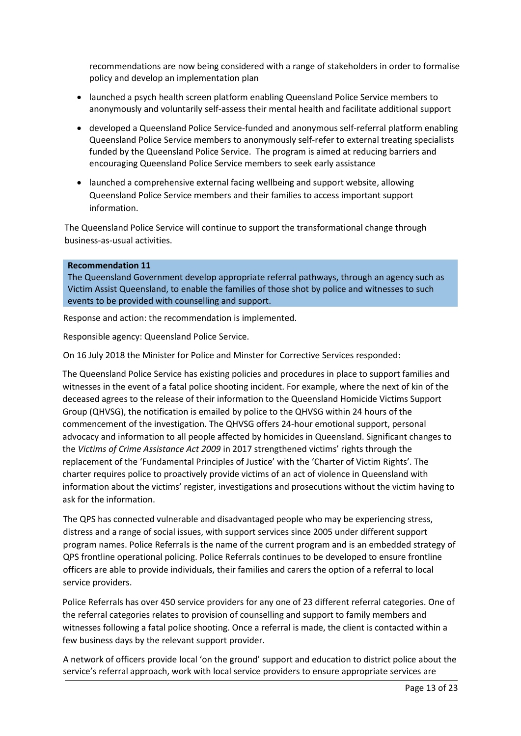recommendations are now being considered with a range of stakeholders in order to formalise policy and develop an implementation plan

- launched a psych health screen platform enabling Queensland Police Service members to anonymously and voluntarily self-assess their mental health and facilitate additional support
- developed a Queensland Police Service-funded and anonymous self-referral platform enabling Queensland Police Service members to anonymously self-refer to external treating specialists funded by the Queensland Police Service. The program is aimed at reducing barriers and encouraging Queensland Police Service members to seek early assistance
- launched a comprehensive external facing wellbeing and support website, allowing Queensland Police Service members and their families to access important support information.

The Queensland Police Service will continue to support the transformational change through business-as-usual activities.

### **Recommendation 11**

The Queensland Government develop appropriate referral pathways, through an agency such as Victim Assist Queensland, to enable the families of those shot by police and witnesses to such events to be provided with counselling and support.

Response and action: the recommendation is implemented.

Responsible agency: Queensland Police Service.

On 16 July 2018 the Minister for Police and Minster for Corrective Services responded:

The Queensland Police Service has existing policies and procedures in place to support families and witnesses in the event of a fatal police shooting incident. For example, where the next of kin of the deceased agrees to the release of their information to the Queensland Homicide Victims Support Group (QHVSG), the notification is emailed by police to the QHVSG within 24 hours of the commencement of the investigation. The QHVSG offers 24-hour emotional support, personal advocacy and information to all people affected by homicides in Queensland. Significant changes to the *Victims of Crime Assistance Act 2009* in 2017 strengthened victims' rights through the replacement of the 'Fundamental Principles of Justice' with the 'Charter of Victim Rights'. The charter requires police to proactively provide victims of an act of violence in Queensland with information about the victims' register, investigations and prosecutions without the victim having to ask for the information.

The QPS has connected vulnerable and disadvantaged people who may be experiencing stress, distress and a range of social issues, with support services since 2005 under different support program names. Police Referrals is the name of the current program and is an embedded strategy of QPS frontline operational policing. Police Referrals continues to be developed to ensure frontline officers are able to provide individuals, their families and carers the option of a referral to local service providers.

Police Referrals has over 450 service providers for any one of 23 different referral categories. One of the referral categories relates to provision of counselling and support to family members and witnesses following a fatal police shooting. Once a referral is made, the client is contacted within a few business days by the relevant support provider.

A network of officers provide local 'on the ground' support and education to district police about the service's referral approach, work with local service providers to ensure appropriate services are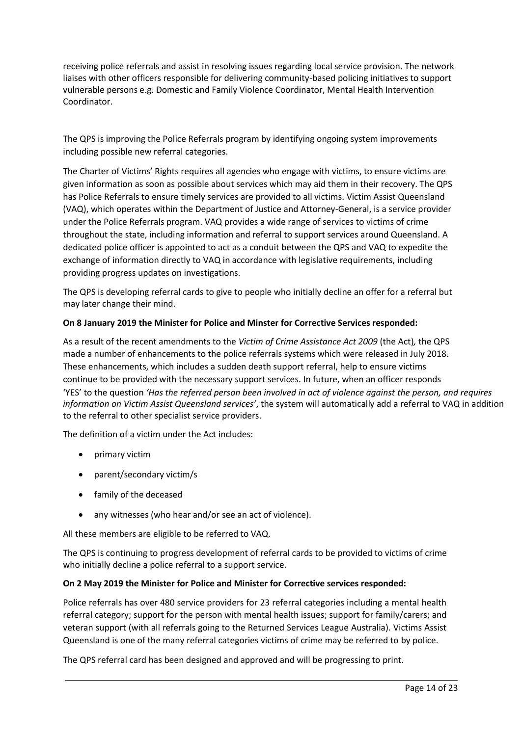receiving police referrals and assist in resolving issues regarding local service provision. The network liaises with other officers responsible for delivering community-based policing initiatives to support vulnerable persons e.g. Domestic and Family Violence Coordinator, Mental Health Intervention Coordinator.

The QPS is improving the Police Referrals program by identifying ongoing system improvements including possible new referral categories.

The Charter of Victims' Rights requires all agencies who engage with victims, to ensure victims are given information as soon as possible about services which may aid them in their recovery. The QPS has Police Referrals to ensure timely services are provided to all victims. Victim Assist Queensland (VAQ), which operates within the Department of Justice and Attorney-General, is a service provider under the Police Referrals program. VAQ provides a wide range of services to victims of crime throughout the state, including information and referral to support services around Queensland. A dedicated police officer is appointed to act as a conduit between the QPS and VAQ to expedite the exchange of information directly to VAQ in accordance with legislative requirements, including providing progress updates on investigations.

The QPS is developing referral cards to give to people who initially decline an offer for a referral but may later change their mind.

# **On 8 January 2019 the Minister for Police and Minster for Corrective Services responded:**

As a result of the recent amendments to the *Victim of Crime Assistance Act 2009* (the Act)*,* the QPS made a number of enhancements to the police referrals systems which were released in July 2018. These enhancements, which includes a sudden death support referral, help to ensure victims continue to be provided with the necessary support services. In future, when an officer responds 'YES' to the question *'Has the referred person been involved in act of violence against the person, and requires information on Victim Assist Queensland services'*, the system will automatically add a referral to VAQ in addition to the referral to other specialist service providers.

The definition of a victim under the Act includes:

- primary victim
- parent/secondary victim/s
- family of the deceased
- any witnesses (who hear and/or see an act of violence).

All these members are eligible to be referred to VAQ.

The QPS is continuing to progress development of referral cards to be provided to victims of crime who initially decline a police referral to a support service.

# **On 2 May 2019 the Minister for Police and Minister for Corrective services responded:**

Police referrals has over 480 service providers for 23 referral categories including a mental health referral category; support for the person with mental health issues; support for family/carers; and veteran support (with all referrals going to the Returned Services League Australia). Victims Assist Queensland is one of the many referral categories victims of crime may be referred to by police.

The QPS referral card has been designed and approved and will be progressing to print.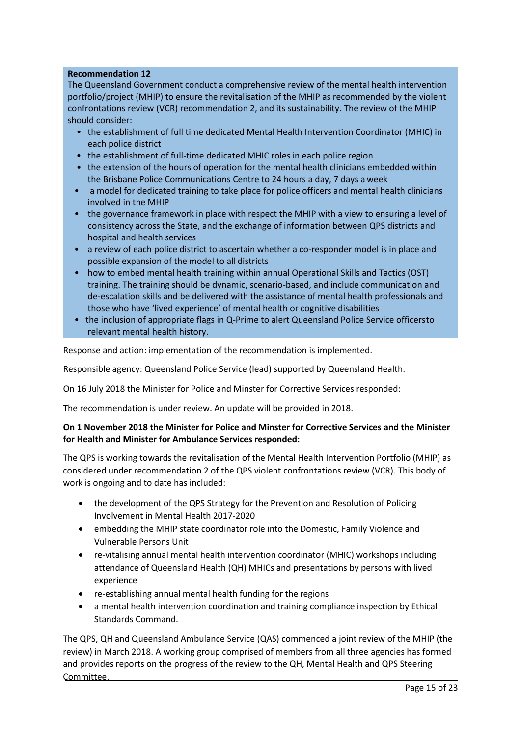### **Recommendation 12**

The Queensland Government conduct a comprehensive review of the mental health intervention portfolio/project (MHIP) to ensure the revitalisation of the MHIP as recommended by the violent confrontations review (VCR) recommendation 2, and its sustainability. The review of the MHIP should consider:

- the establishment of full time dedicated Mental Health Intervention Coordinator (MHIC) in each police district
- the establishment of full-time dedicated MHIC roles in each police region
- the extension of the hours of operation for the mental health clinicians embedded within the Brisbane Police Communications Centre to 24 hours a day, 7 days a week
- a model for dedicated training to take place for police officers and mental health clinicians involved in the MHIP
- the governance framework in place with respect the MHIP with a view to ensuring a level of consistency across the State, and the exchange of information between QPS districts and hospital and health services
- a review of each police district to ascertain whether a co-responder model is in place and possible expansion of the model to all districts
- how to embed mental health training within annual Operational Skills and Tactics (OST) training. The training should be dynamic, scenario-based, and include communication and de-escalation skills and be delivered with the assistance of mental health professionals and those who have 'lived experience' of mental health or cognitive disabilities
- the inclusion of appropriate flags in Q-Prime to alert Queensland Police Service officersto relevant mental health history.

Response and action: implementation of the recommendation is implemented.

Responsible agency: Queensland Police Service (lead) supported by Queensland Health.

On 16 July 2018 the Minister for Police and Minster for Corrective Services responded:

The recommendation is under review. An update will be provided in 2018.

# **On 1 November 2018 the Minister for Police and Minster for Corrective Services and the Minister for Health and Minister for Ambulance Services responded:**

The QPS is working towards the revitalisation of the Mental Health Intervention Portfolio (MHIP) as considered under recommendation 2 of the QPS violent confrontations review (VCR). This body of work is ongoing and to date has included:

- the development of the QPS Strategy for the Prevention and Resolution of Policing Involvement in Mental Health 2017-2020
- embedding the MHIP state coordinator role into the Domestic, Family Violence and Vulnerable Persons Unit
- re-vitalising annual mental health intervention coordinator (MHIC) workshops including attendance of Queensland Health (QH) MHICs and presentations by persons with lived experience
- re-establishing annual mental health funding for the regions
- a mental health intervention coordination and training compliance inspection by Ethical Standards Command.

The QPS, QH and Queensland Ambulance Service (QAS) commenced a joint review of the MHIP (the review) in March 2018. A working group comprised of members from all three agencies has formed and provides reports on the progress of the review to the QH, Mental Health and QPS Steering Committee.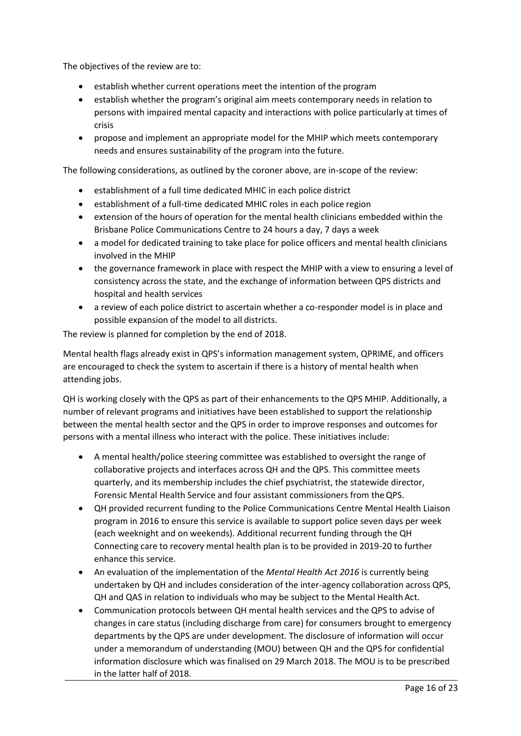The objectives of the review are to:

- establish whether current operations meet the intention of the program
- establish whether the program's original aim meets contemporary needs in relation to persons with impaired mental capacity and interactions with police particularly at times of crisis
- propose and implement an appropriate model for the MHIP which meets contemporary needs and ensures sustainability of the program into the future.

The following considerations, as outlined by the coroner above, are in-scope of the review:

- establishment of a full time dedicated MHIC in each police district
- establishment of a full-time dedicated MHIC roles in each police region
- extension of the hours of operation for the mental health clinicians embedded within the Brisbane Police Communications Centre to 24 hours a day, 7 days a week
- a model for dedicated training to take place for police officers and mental health clinicians involved in the MHIP
- the governance framework in place with respect the MHIP with a view to ensuring a level of consistency across the state, and the exchange of information between QPS districts and hospital and health services
- a review of each police district to ascertain whether a co-responder model is in place and possible expansion of the model to all districts.

The review is planned for completion by the end of 2018.

Mental health flags already exist in QPS's information management system, QPRIME, and officers are encouraged to check the system to ascertain if there is a history of mental health when attending jobs.

QH is working closely with the QPS as part of their enhancements to the QPS MHIP. Additionally, a number of relevant programs and initiatives have been established to support the relationship between the mental health sector and the QPS in order to improve responses and outcomes for persons with a mental illness who interact with the police. These initiatives include:

- A mental health/police steering committee was established to oversight the range of collaborative projects and interfaces across QH and the QPS. This committee meets quarterly, and its membership includes the chief psychiatrist, the statewide director, Forensic Mental Health Service and four assistant commissioners from theQPS.
- QH provided recurrent funding to the Police Communications Centre Mental Health Liaison program in 2016 to ensure this service is available to support police seven days per week (each weeknight and on weekends). Additional recurrent funding through the QH Connecting care to recovery mental health plan is to be provided in 2019-20 to further enhance this service.
- An evaluation of the implementation of the *Mental Health Act 2016* is currently being undertaken by QH and includes consideration of the inter-agency collaboration across QPS, QH and QAS in relation to individuals who may be subject to the Mental Health Act.
- Communication protocols between QH mental health services and the QPS to advise of changes in care status (including discharge from care) for consumers brought to emergency departments by the QPS are under development. The disclosure of information will occur under a memorandum of understanding (MOU) between QH and the QPS for confidential information disclosure which was finalised on 29 March 2018. The MOU is to be prescribed in the latter half of 2018.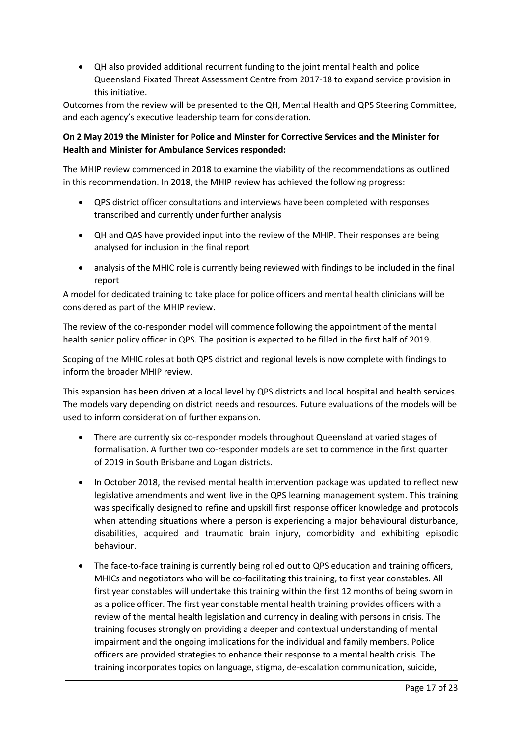• QH also provided additional recurrent funding to the joint mental health and police Queensland Fixated Threat Assessment Centre from 2017-18 to expand service provision in this initiative.

Outcomes from the review will be presented to the QH, Mental Health and QPS Steering Committee, and each agency's executive leadership team for consideration.

# **On 2 May 2019 the Minister for Police and Minster for Corrective Services and the Minister for Health and Minister for Ambulance Services responded:**

The MHIP review commenced in 2018 to examine the viability of the recommendations as outlined in this recommendation. In 2018, the MHIP review has achieved the following progress:

- QPS district officer consultations and interviews have been completed with responses transcribed and currently under further analysis
- QH and QAS have provided input into the review of the MHIP. Their responses are being analysed for inclusion in the final report
- analysis of the MHIC role is currently being reviewed with findings to be included in the final report

A model for dedicated training to take place for police officers and mental health clinicians will be considered as part of the MHIP review.

The review of the co-responder model will commence following the appointment of the mental health senior policy officer in QPS. The position is expected to be filled in the first half of 2019.

Scoping of the MHIC roles at both QPS district and regional levels is now complete with findings to inform the broader MHIP review.

This expansion has been driven at a local level by QPS districts and local hospital and health services. The models vary depending on district needs and resources. Future evaluations of the models will be used to inform consideration of further expansion.

- There are currently six co-responder models throughout Queensland at varied stages of formalisation. A further two co-responder models are set to commence in the first quarter of 2019 in South Brisbane and Logan districts.
- In October 2018, the revised mental health intervention package was updated to reflect new legislative amendments and went live in the QPS learning management system. This training was specifically designed to refine and upskill first response officer knowledge and protocols when attending situations where a person is experiencing a major behavioural disturbance, disabilities, acquired and traumatic brain injury, comorbidity and exhibiting episodic behaviour.
- The face-to-face training is currently being rolled out to QPS education and training officers, MHICs and negotiators who will be co-facilitating this training, to first year constables. All first year constables will undertake this training within the first 12 months of being sworn in as a police officer. The first year constable mental health training provides officers with a review of the mental health legislation and currency in dealing with persons in crisis. The training focuses strongly on providing a deeper and contextual understanding of mental impairment and the ongoing implications for the individual and family members. Police officers are provided strategies to enhance their response to a mental health crisis. The training incorporates topics on language, stigma, de-escalation communication, suicide,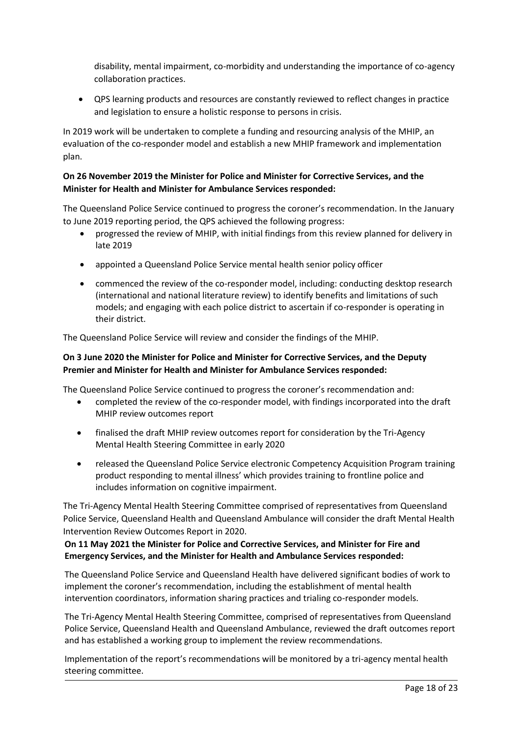disability, mental impairment, co-morbidity and understanding the importance of co-agency collaboration practices.

• QPS learning products and resources are constantly reviewed to reflect changes in practice and legislation to ensure a holistic response to persons in crisis.

In 2019 work will be undertaken to complete a funding and resourcing analysis of the MHIP, an evaluation of the co-responder model and establish a new MHIP framework and implementation plan.

# **On 26 November 2019 the Minister for Police and Minister for Corrective Services, and the Minister for Health and Minister for Ambulance Services responded:**

The Queensland Police Service continued to progress the coroner's recommendation. In the January to June 2019 reporting period, the QPS achieved the following progress:

- progressed the review of MHIP, with initial findings from this review planned for delivery in late 2019
- appointed a Queensland Police Service mental health senior policy officer
- commenced the review of the co-responder model, including: conducting desktop research (international and national literature review) to identify benefits and limitations of such models; and engaging with each police district to ascertain if co-responder is operating in their district.

The Queensland Police Service will review and consider the findings of the MHIP.

# **On 3 June 2020 the Minister for Police and Minister for Corrective Services, and the Deputy Premier and Minister for Health and Minister for Ambulance Services responded:**

The Queensland Police Service continued to progress the coroner's recommendation and:

- completed the review of the co-responder model, with findings incorporated into the draft MHIP review outcomes report
- finalised the draft MHIP review outcomes report for consideration by the Tri-Agency Mental Health Steering Committee in early 2020
- released the Queensland Police Service electronic Competency Acquisition Program training product responding to mental illness' which provides training to frontline police and includes information on cognitive impairment.

The Tri-Agency Mental Health Steering Committee comprised of representatives from Queensland Police Service, Queensland Health and Queensland Ambulance will consider the draft Mental Health Intervention Review Outcomes Report in 2020.

# **On 11 May 2021 the Minister for Police and Corrective Services, and Minister for Fire and Emergency Services, and the Minister for Health and Ambulance Services responded:**

The Queensland Police Service and Queensland Health have delivered significant bodies of work to implement the coroner's recommendation, including the establishment of mental health intervention coordinators, information sharing practices and trialing co-responder models.

The Tri-Agency Mental Health Steering Committee, comprised of representatives from Queensland Police Service, Queensland Health and Queensland Ambulance, reviewed the draft outcomes report and has established a working group to implement the review recommendations.

Implementation of the report's recommendations will be monitored by a tri-agency mental health steering committee.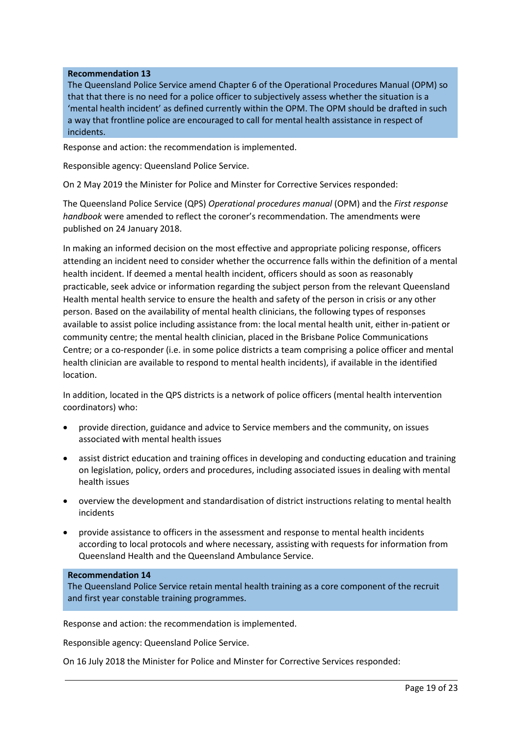### **Recommendation 13**

The Queensland Police Service amend Chapter 6 of the Operational Procedures Manual (OPM) so that that there is no need for a police officer to subjectively assess whether the situation is a 'mental health incident' as defined currently within the OPM. The OPM should be drafted in such a way that frontline police are encouraged to call for mental health assistance in respect of incidents.

Response and action: the recommendation is implemented.

Responsible agency: Queensland Police Service.

On 2 May 2019 the Minister for Police and Minster for Corrective Services responded:

The Queensland Police Service (QPS) *Operational procedures manual* (OPM) and the *First response handbook* were amended to reflect the coroner's recommendation. The amendments were published on 24 January 2018.

In making an informed decision on the most effective and appropriate policing response, officers attending an incident need to consider whether the occurrence falls within the definition of a mental health incident. If deemed a mental health incident, officers should as soon as reasonably practicable, seek advice or information regarding the subject person from the relevant Queensland Health mental health service to ensure the health and safety of the person in crisis or any other person. Based on the availability of mental health clinicians, the following types of responses available to assist police including assistance from: the local mental health unit, either in-patient or community centre; the mental health clinician, placed in the Brisbane Police Communications Centre; or a co-responder (i.e. in some police districts a team comprising a police officer and mental health clinician are available to respond to mental health incidents), if available in the identified location.

In addition, located in the QPS districts is a network of police officers (mental health intervention coordinators) who:

- provide direction, guidance and advice to Service members and the community, on issues associated with mental health issues
- assist district education and training offices in developing and conducting education and training on legislation, policy, orders and procedures, including associated issues in dealing with mental health issues
- overview the development and standardisation of district instructions relating to mental health incidents
- provide assistance to officers in the assessment and response to mental health incidents according to local protocols and where necessary, assisting with requests for information from Queensland Health and the Queensland Ambulance Service.

### **Recommendation 14**

The Queensland Police Service retain mental health training as a core component of the recruit and first year constable training programmes.

Response and action: the recommendation is implemented.

Responsible agency: Queensland Police Service.

On 16 July 2018 the Minister for Police and Minster for Corrective Services responded: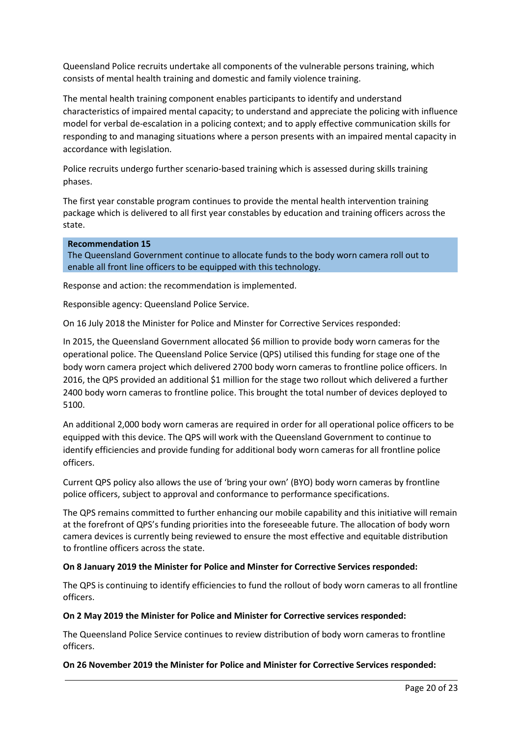Queensland Police recruits undertake all components of the vulnerable persons training, which consists of mental health training and domestic and family violence training.

The mental health training component enables participants to identify and understand characteristics of impaired mental capacity; to understand and appreciate the policing with influence model for verbal de-escalation in a policing context; and to apply effective communication skills for responding to and managing situations where a person presents with an impaired mental capacity in accordance with legislation.

Police recruits undergo further scenario-based training which is assessed during skills training phases.

The first year constable program continues to provide the mental health intervention training package which is delivered to all first year constables by education and training officers across the state.

#### **Recommendation 15**

The Queensland Government continue to allocate funds to the body worn camera roll out to enable all front line officers to be equipped with this technology.

Response and action: the recommendation is implemented.

Responsible agency: Queensland Police Service.

On 16 July 2018 the Minister for Police and Minster for Corrective Services responded:

In 2015, the Queensland Government allocated \$6 million to provide body worn cameras for the operational police. The Queensland Police Service (QPS) utilised this funding for stage one of the body worn camera project which delivered 2700 body worn cameras to frontline police officers. In 2016, the QPS provided an additional \$1 million for the stage two rollout which delivered a further 2400 body worn cameras to frontline police. This brought the total number of devices deployed to 5100.

An additional 2,000 body worn cameras are required in order for all operational police officers to be equipped with this device. The QPS will work with the Queensland Government to continue to identify efficiencies and provide funding for additional body worn cameras for all frontline police officers.

Current QPS policy also allows the use of 'bring your own' (BYO) body worn cameras by frontline police officers, subject to approval and conformance to performance specifications.

The QPS remains committed to further enhancing our mobile capability and this initiative will remain at the forefront of QPS's funding priorities into the foreseeable future. The allocation of body worn camera devices is currently being reviewed to ensure the most effective and equitable distribution to frontline officers across the state.

### **On 8 January 2019 the Minister for Police and Minster for Corrective Services responded:**

The QPS is continuing to identify efficiencies to fund the rollout of body worn cameras to all frontline officers.

### **On 2 May 2019 the Minister for Police and Minister for Corrective services responded:**

The Queensland Police Service continues to review distribution of body worn cameras to frontline officers.

### **On 26 November 2019 the Minister for Police and Minister for Corrective Services responded:**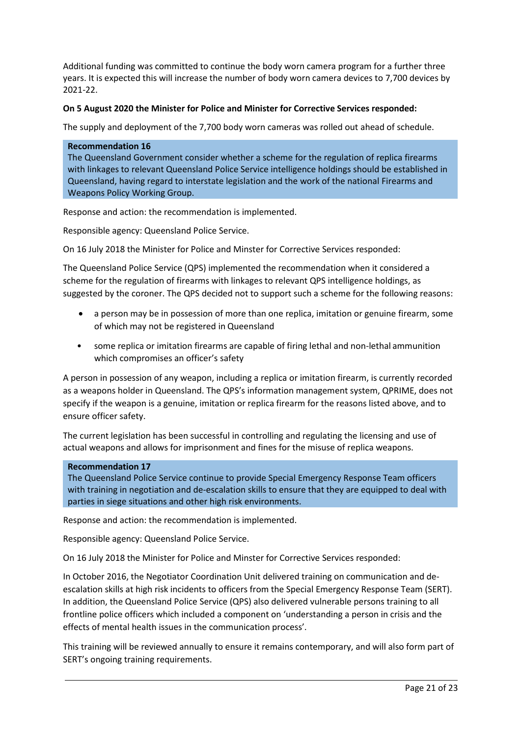Additional funding was committed to continue the body worn camera program for a further three years. It is expected this will increase the number of body worn camera devices to 7,700 devices by 2021-22.

### **On 5 August 2020 the Minister for Police and Minister for Corrective Services responded:**

The supply and deployment of the 7,700 body worn cameras was rolled out ahead of schedule.

#### **Recommendation 16**

The Queensland Government consider whether a scheme for the regulation of replica firearms with linkages to relevant Queensland Police Service intelligence holdings should be established in Queensland, having regard to interstate legislation and the work of the national Firearms and Weapons Policy Working Group.

Response and action: the recommendation is implemented.

Responsible agency: Queensland Police Service.

On 16 July 2018 the Minister for Police and Minster for Corrective Services responded:

The Queensland Police Service (QPS) implemented the recommendation when it considered a scheme for the regulation of firearms with linkages to relevant QPS intelligence holdings, as suggested by the coroner. The QPS decided not to support such a scheme for the following reasons:

- a person may be in possession of more than one replica, imitation or genuine firearm, some of which may not be registered in Queensland
- some replica or imitation firearms are capable of firing lethal and non-lethal ammunition which compromises an officer's safety

A person in possession of any weapon, including a replica or imitation firearm, is currently recorded as a weapons holder in Queensland. The QPS's information management system, QPRIME, does not specify if the weapon is a genuine, imitation or replica firearm for the reasons listed above, and to ensure officer safety.

The current legislation has been successful in controlling and regulating the licensing and use of actual weapons and allows for imprisonment and fines for the misuse of replica weapons.

### **Recommendation 17**

The Queensland Police Service continue to provide Special Emergency Response Team officers with training in negotiation and de-escalation skills to ensure that they are equipped to deal with parties in siege situations and other high risk environments.

Response and action: the recommendation is implemented.

Responsible agency: Queensland Police Service.

On 16 July 2018 the Minister for Police and Minster for Corrective Services responded:

In October 2016, the Negotiator Coordination Unit delivered training on communication and deescalation skills at high risk incidents to officers from the Special Emergency Response Team (SERT). In addition, the Queensland Police Service (QPS) also delivered vulnerable persons training to all frontline police officers which included a component on 'understanding a person in crisis and the effects of mental health issues in the communication process'.

This training will be reviewed annually to ensure it remains contemporary, and will also form part of SERT's ongoing training requirements.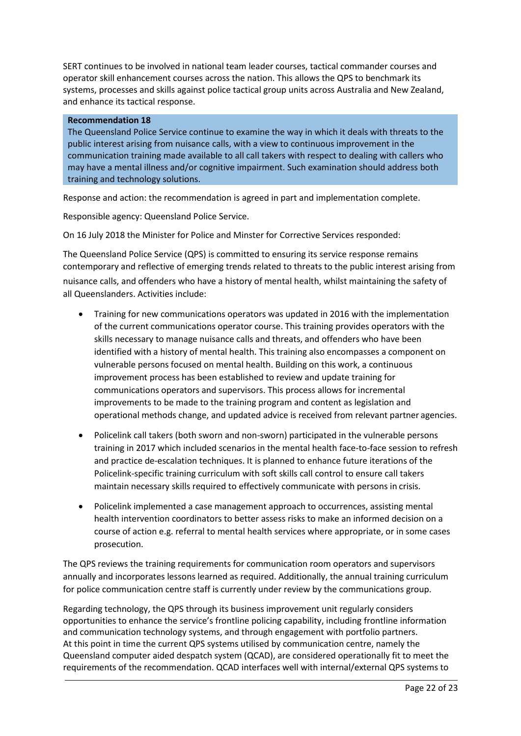SERT continues to be involved in national team leader courses, tactical commander courses and operator skill enhancement courses across the nation. This allows the QPS to benchmark its systems, processes and skills against police tactical group units across Australia and New Zealand, and enhance its tactical response.

#### **Recommendation 18**

The Queensland Police Service continue to examine the way in which it deals with threats to the public interest arising from nuisance calls, with a view to continuous improvement in the communication training made available to all call takers with respect to dealing with callers who may have a mental illness and/or cognitive impairment. Such examination should address both training and technology solutions.

Response and action: the recommendation is agreed in part and implementation complete.

Responsible agency: Queensland Police Service.

On 16 July 2018 the Minister for Police and Minster for Corrective Services responded:

The Queensland Police Service (QPS) is committed to ensuring its service response remains contemporary and reflective of emerging trends related to threats to the public interest arising from nuisance calls, and offenders who have a history of mental health, whilst maintaining the safety of all Queenslanders. Activities include:

- Training for new communications operators was updated in 2016 with the implementation of the current communications operator course. This training provides operators with the skills necessary to manage nuisance calls and threats, and offenders who have been identified with a history of mental health. This training also encompasses a component on vulnerable persons focused on mental health. Building on this work, a continuous improvement process has been established to review and update training for communications operators and supervisors. This process allows for incremental improvements to be made to the training program and content as legislation and operational methods change, and updated advice is received from relevant partner agencies.
- Policelink call takers (both sworn and non-sworn) participated in the vulnerable persons training in 2017 which included scenarios in the mental health face-to-face session to refresh and practice de-escalation techniques. It is planned to enhance future iterations of the Policelink-specific training curriculum with soft skills call control to ensure call takers maintain necessary skills required to effectively communicate with persons in crisis.
- Policelink implemented a case management approach to occurrences, assisting mental health intervention coordinators to better assess risks to make an informed decision on a course of action e.g. referral to mental health services where appropriate, or in some cases prosecution.

The QPS reviews the training requirements for communication room operators and supervisors annually and incorporates lessons learned as required. Additionally, the annual training curriculum for police communication centre staff is currently under review by the communications group.

Regarding technology, the QPS through its business improvement unit regularly considers opportunities to enhance the service's frontline policing capability, including frontline information and communication technology systems, and through engagement with portfolio partners. At this point in time the current QPS systems utilised by communication centre, namely the Queensland computer aided despatch system (QCAD), are considered operationally fit to meet the requirements of the recommendation. QCAD interfaces well with internal/external QPS systems to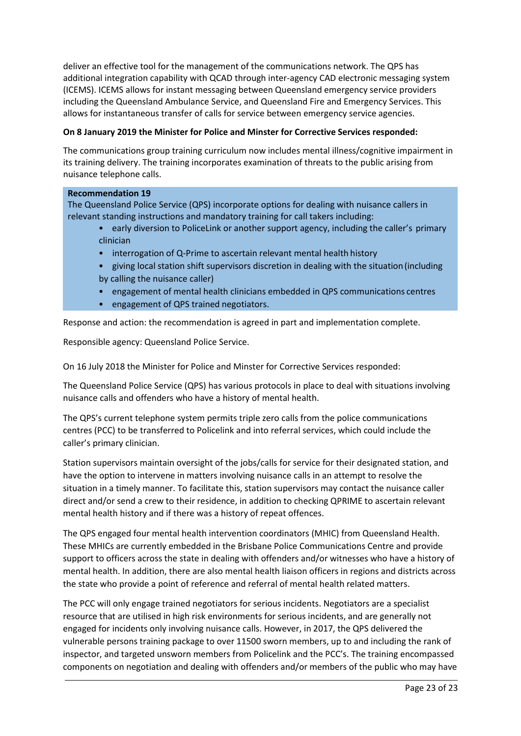deliver an effective tool for the management of the communications network. The QPS has additional integration capability with QCAD through inter-agency CAD electronic messaging system (ICEMS). ICEMS allows for instant messaging between Queensland emergency service providers including the Queensland Ambulance Service, and Queensland Fire and Emergency Services. This allows for instantaneous transfer of calls for service between emergency service agencies.

# **On 8 January 2019 the Minister for Police and Minster for Corrective Services responded:**

The communications group training curriculum now includes mental illness/cognitive impairment in its training delivery. The training incorporates examination of threats to the public arising from nuisance telephone calls.

### **Recommendation 19**

The Queensland Police Service (QPS) incorporate options for dealing with nuisance callers in relevant standing instructions and mandatory training for call takers including:

- early diversion to PoliceLink or another support agency, including the caller's primary clinician
- interrogation of Q-Prime to ascertain relevant mental health history
- giving local station shift supervisors discretion in dealing with the situation(including by calling the nuisance caller)
- engagement of mental health clinicians embedded in QPS communications centres
- engagement of QPS trained negotiators.

Response and action: the recommendation is agreed in part and implementation complete.

Responsible agency: Queensland Police Service.

On 16 July 2018 the Minister for Police and Minster for Corrective Services responded:

The Queensland Police Service (QPS) has various protocols in place to deal with situations involving nuisance calls and offenders who have a history of mental health.

The QPS's current telephone system permits triple zero calls from the police communications centres (PCC) to be transferred to Policelink and into referral services, which could include the caller's primary clinician.

Station supervisors maintain oversight of the jobs/calls for service for their designated station, and have the option to intervene in matters involving nuisance calls in an attempt to resolve the situation in a timely manner. To facilitate this, station supervisors may contact the nuisance caller direct and/or send a crew to their residence, in addition to checking QPRIME to ascertain relevant mental health history and if there was a history of repeat offences.

The QPS engaged four mental health intervention coordinators (MHIC) from Queensland Health. These MHICs are currently embedded in the Brisbane Police Communications Centre and provide support to officers across the state in dealing with offenders and/or witnesses who have a history of mental health. In addition, there are also mental health liaison officers in regions and districts across the state who provide a point of reference and referral of mental health related matters.

The PCC will only engage trained negotiators for serious incidents. Negotiators are a specialist resource that are utilised in high risk environments for serious incidents, and are generally not engaged for incidents only involving nuisance calls. However, in 2017, the QPS delivered the vulnerable persons training package to over 11500 sworn members, up to and including the rank of inspector, and targeted unsworn members from Policelink and the PCC's. The training encompassed components on negotiation and dealing with offenders and/or members of the public who may have